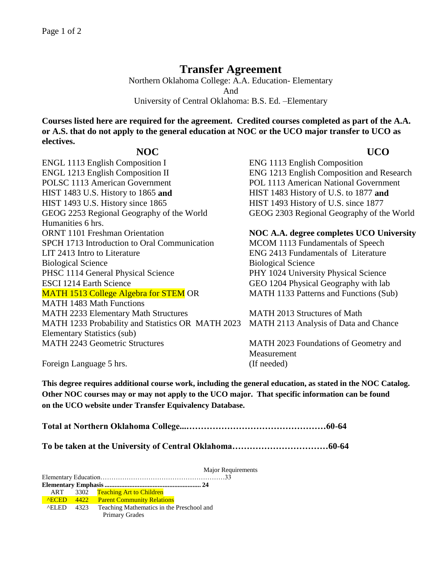## **Transfer Agreement**

Northern Oklahoma College: A.A. Education- Elementary And University of Central Oklahoma: B.S. Ed. –Elementary

**Courses listed here are required for the agreement. Credited courses completed as part of the A.A. or A.S. that do not apply to the general education at NOC or the UCO major transfer to UCO as electives.** 

## **NOC UCO**

ENGL 1113 English Composition I ENG 1113 English Composition ENGL 1213 English Composition II ENG 1213 English Composition and Research POLSC 1113 American Government POL 1113 American National Government HIST 1483 U.S. History to 1865 **and** HIST 1483 History of U.S. to 1877 **and** HIST 1493 U.S. History since 1865 HIST 1493 History of U.S. since 1877 GEOG 2253 Regional Geography of the World GEOG 2303 Regional Geography of the World Humanities 6 hrs. ORNT 1101 Freshman Orientation **NOC A.A. degree completes UCO University** SPCH 1713 Introduction to Oral Communication MCOM 1113 Fundamentals of Speech LIT 2413 Intro to Literature ENG 2413 Fundamentals of Literature Biological Science Biological Science PHSC 1114 General Physical Science PHY 1024 University Physical Science ESCI 1214 Earth Science GEO 1204 Physical Geography with lab MATH 1513 College Algebra for STEM OR MATH 1483 Math Functions MATH 2233 Elementary Math Structures MATH 2013 Structures of Math MATH 1233 Probability and Statistics OR MATH 2023 Elementary Statistics (sub) MATH 2243 Geometric Structures MATH 2023 Foundations of Geometry and

MATH 1133 Patterns and Functions (Sub)

MATH 2113 Analysis of Data and Chance

**Measurement** Foreign Language 5 hrs. (If needed)

**This degree requires additional course work, including the general education, as stated in the NOC Catalog. Other NOC courses may or may not apply to the UCO major. That specific information can be found on the UCO website under Transfer Equivalency Database.**

**Total at Northern Oklahoma College...…………………………………………60-64**

**To be taken at the University of Central Oklahoma……………………………60-64**

Major Requirements Elementary Education…………………………………………………33 **Elementary Emphasis.......................................................... 24** ART 3302 Teaching Art to Children<br>
<u>AECED 4422</u> Parent Community Relation **Parent Community Relations**  ^ELED 4323 Teaching Mathematics in the Preschool and Primary Grades